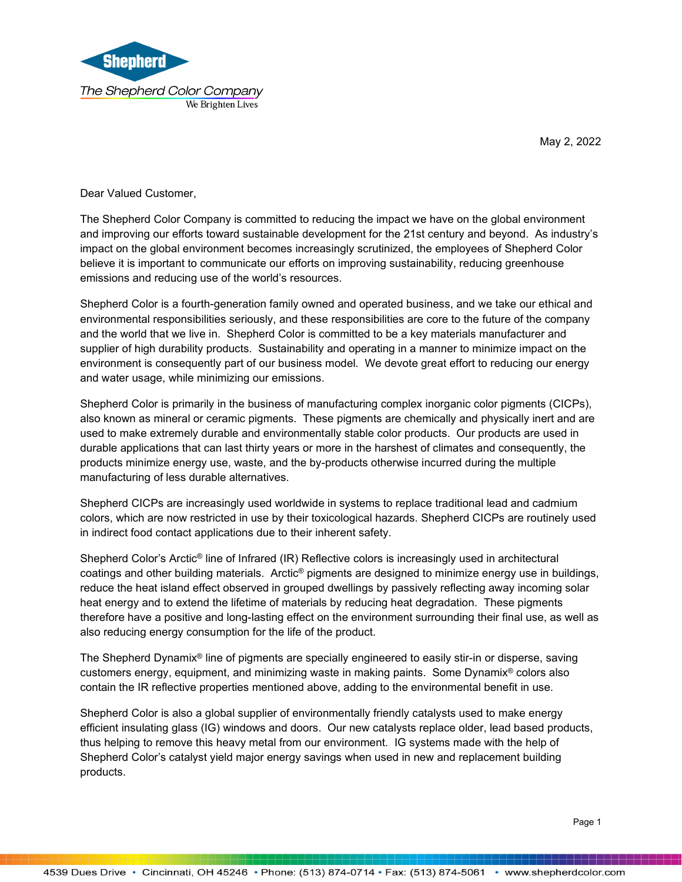

May 2, 2022

Dear Valued Customer,

The Shepherd Color Company is committed to reducing the impact we have on the global environment and improving our efforts toward sustainable development for the 21st century and beyond. As industry's impact on the global environment becomes increasingly scrutinized, the employees of Shepherd Color believe it is important to communicate our efforts on improving sustainability, reducing greenhouse emissions and reducing use of the world's resources.

Shepherd Color is a fourth-generation family owned and operated business, and we take our ethical and environmental responsibilities seriously, and these responsibilities are core to the future of the company and the world that we live in. Shepherd Color is committed to be a key materials manufacturer and supplier of high durability products. Sustainability and operating in a manner to minimize impact on the environment is consequently part of our business model. We devote great effort to reducing our energy and water usage, while minimizing our emissions.

Shepherd Color is primarily in the business of manufacturing complex inorganic color pigments (CICPs), also known as mineral or ceramic pigments. These pigments are chemically and physically inert and are used to make extremely durable and environmentally stable color products. Our products are used in durable applications that can last thirty years or more in the harshest of climates and consequently, the products minimize energy use, waste, and the by-products otherwise incurred during the multiple manufacturing of less durable alternatives.

Shepherd CICPs are increasingly used worldwide in systems to replace traditional lead and cadmium colors, which are now restricted in use by their toxicological hazards. Shepherd CICPs are routinely used in indirect food contact applications due to their inherent safety.

Shepherd Color's Arctic® line of Infrared (IR) Reflective colors is increasingly used in architectural coatings and other building materials. Arctic® pigments are designed to minimize energy use in buildings, reduce the heat island effect observed in grouped dwellings by passively reflecting away incoming solar heat energy and to extend the lifetime of materials by reducing heat degradation. These pigments therefore have a positive and long-lasting effect on the environment surrounding their final use, as well as also reducing energy consumption for the life of the product.

The Shepherd Dynamix® line of pigments are specially engineered to easily stir-in or disperse, saving customers energy, equipment, and minimizing waste in making paints. Some Dynamix® colors also contain the IR reflective properties mentioned above, adding to the environmental benefit in use.

Shepherd Color is also a global supplier of environmentally friendly catalysts used to make energy efficient insulating glass (IG) windows and doors. Our new catalysts replace older, lead based products, thus helping to remove this heavy metal from our environment. IG systems made with the help of Shepherd Color's catalyst yield major energy savings when used in new and replacement building products.